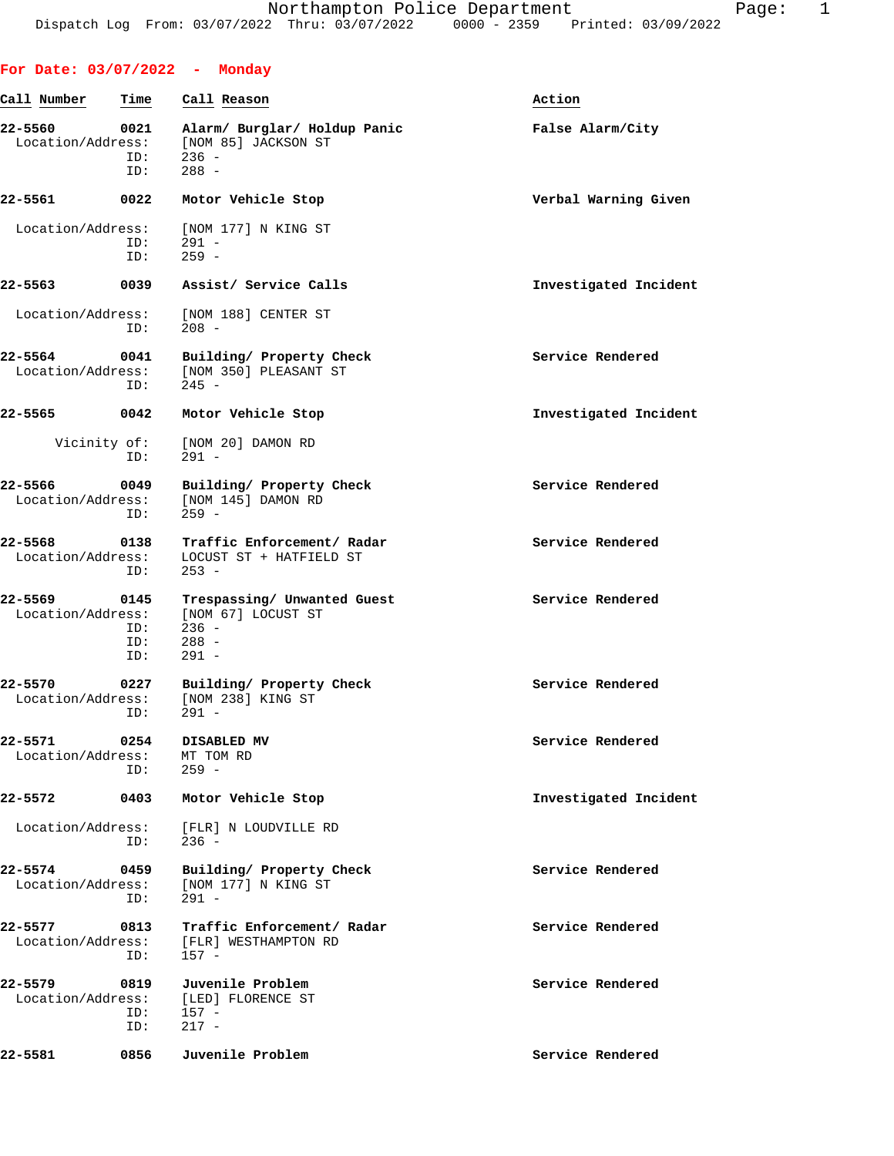| For Date: $03/07/2022$ - Monday   |                           |                                                                                    |                       |
|-----------------------------------|---------------------------|------------------------------------------------------------------------------------|-----------------------|
| Call Number                       | Time                      | Call Reason                                                                        | Action                |
| 22-5560<br>Location/Address:      | 0021<br>ID:<br>ID:        | Alarm/ Burglar/ Holdup Panic<br>[NOM 85] JACKSON ST<br>$236 -$<br>$288 -$          | False Alarm/City      |
| 22-5561                           | 0022                      | Motor Vehicle Stop                                                                 | Verbal Warning Given  |
| Location/Address:                 | ID:<br>ID:                | [NOM 177] N KING ST<br>$291 -$<br>$259 -$                                          |                       |
| 22-5563                           | 0039                      | Assist/ Service Calls                                                              | Investigated Incident |
| Location/Address:                 | ID:                       | [NOM 188] CENTER ST<br>$208 -$                                                     |                       |
| 22-5564 0041<br>Location/Address: | ID:                       | Building/ Property Check<br>[NOM 350] PLEASANT ST<br>$245 -$                       | Service Rendered      |
| 22-5565 0042                      |                           | Motor Vehicle Stop                                                                 | Investigated Incident |
| Vicinity of:                      | ID:                       | [NOM 20] DAMON RD<br>$291 -$                                                       |                       |
| 22-5566 0049<br>Location/Address: | ID:                       | Building/ Property Check<br>[NOM 145] DAMON RD<br>$259 -$                          | Service Rendered      |
| 22-5568<br>Location/Address:      | 0138<br>ID:               | Traffic Enforcement/ Radar<br>LOCUST ST + HATFIELD ST<br>$253 -$                   | Service Rendered      |
| 22-5569<br>Location/Address:      | 0145<br>ID:<br>ID:<br>ID: | Trespassing/ Unwanted Guest<br>[NOM 67] LOCUST ST<br>$236 -$<br>$288 -$<br>$291 -$ | Service Rendered      |
| 22-5570<br>Location/Address:      | 0227<br>ID:               | Building/ Property Check<br>[NOM 238] KING ST<br>291 -                             | Service Rendered      |
| 22-5571<br>Location/Address:      | 0254<br>ID:               | DISABLED MV<br>MT TOM RD<br>$259 -$                                                | Service Rendered      |
| 22-5572                           | 0403                      | Motor Vehicle Stop                                                                 | Investigated Incident |
| Location/Address:                 | ID:                       | [FLR] N LOUDVILLE RD<br>$236 -$                                                    |                       |
| 22-5574<br>Location/Address:      | 0459<br>ID:               | Building/ Property Check<br>[NOM 177] N KING ST<br>$291 -$                         | Service Rendered      |
| 22-5577<br>Location/Address:      | 0813<br>ID:               | Traffic Enforcement/ Radar<br>[FLR] WESTHAMPTON RD<br>$157 -$                      | Service Rendered      |
| 22-5579<br>Location/Address:      | 0819<br>ID:<br>ID:        | Juvenile Problem<br>[LED] FLORENCE ST<br>$157 -$<br>$217 -$                        | Service Rendered      |
| 22-5581                           | 0856                      | Juvenile Problem                                                                   | Service Rendered      |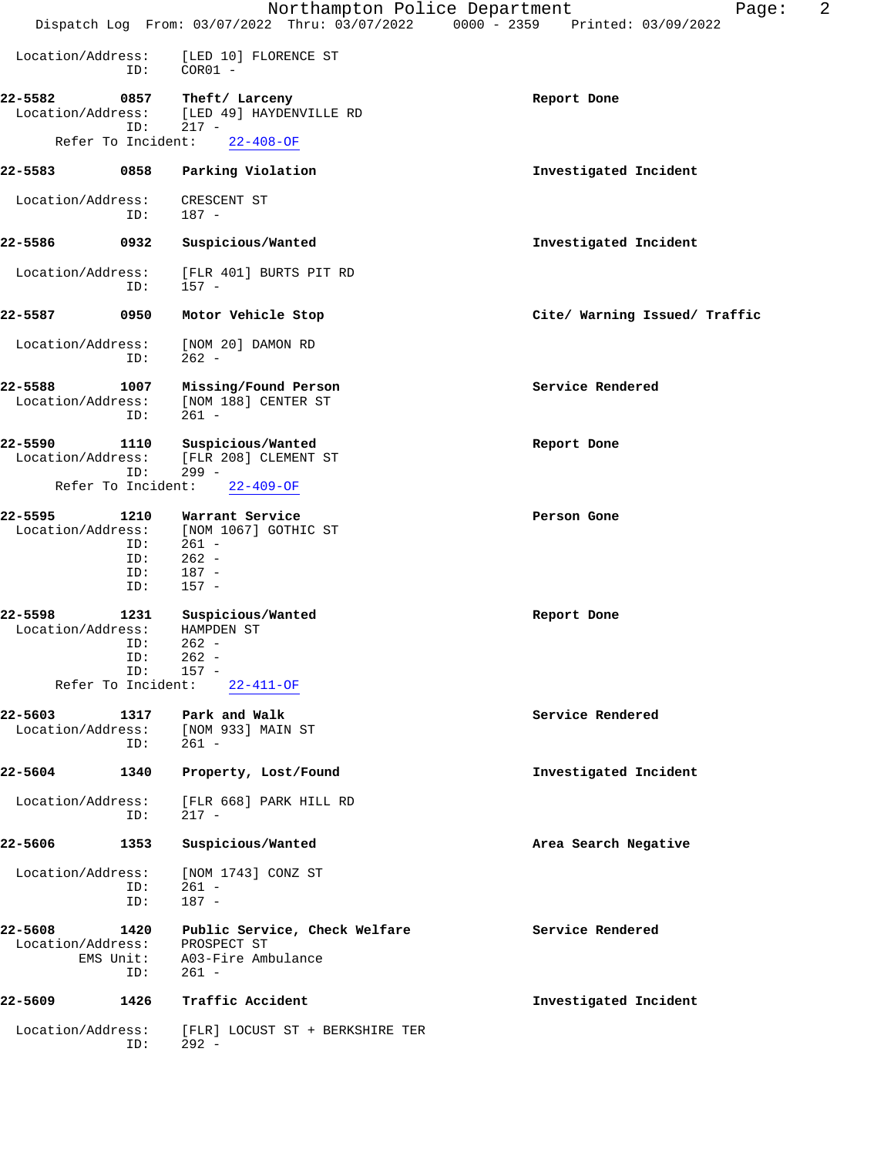|                                                                                 | Northampton Police Department                                                       | 2<br>Page:                                                                     |
|---------------------------------------------------------------------------------|-------------------------------------------------------------------------------------|--------------------------------------------------------------------------------|
|                                                                                 |                                                                                     | Dispatch Log From: 03/07/2022 Thru: 03/07/2022 0000 - 2359 Printed: 03/09/2022 |
| Location/Address:<br>ID:                                                        | [LED 10] FLORENCE ST<br>$COR01 -$                                                   |                                                                                |
| 22-5582<br>0857<br>Location/Address:<br>ID:                                     | Theft/ Larceny<br>[LED 49] HAYDENVILLE RD<br>$217 -$                                | Report Done                                                                    |
| Refer To Incident:                                                              | $22 - 408 - OF$                                                                     |                                                                                |
| 22-5583<br>0858                                                                 | Parking Violation                                                                   | Investigated Incident                                                          |
| Location/Address:<br>ID:                                                        | CRESCENT ST<br>$187 -$                                                              |                                                                                |
| 22-5586<br>0932                                                                 | Suspicious/Wanted                                                                   | Investigated Incident                                                          |
| Location/Address:<br>ID:                                                        | [FLR 401] BURTS PIT RD<br>$157 -$                                                   |                                                                                |
| 0950<br>22-5587                                                                 | Motor Vehicle Stop                                                                  | Cite/ Warning Issued/ Traffic                                                  |
| Location/Address:<br>ID:                                                        | [NOM 20] DAMON RD<br>$262 -$                                                        |                                                                                |
| 22-5588<br>1007<br>Location/Address:<br>ID:                                     | Missing/Found Person<br>[NOM 188] CENTER ST<br>$261 -$                              | Service Rendered                                                               |
| 22-5590<br>1110<br>Location/Address:<br>ID:                                     | Suspicious/Wanted<br>[FLR 208] CLEMENT ST<br>$299 -$                                | Report Done                                                                    |
| Refer To Incident:                                                              | $22 - 409 - OF$                                                                     |                                                                                |
| 22-5595<br>1210<br>Location/Address:<br>ID:<br>ID:<br>ID:<br>ID:                | Warrant Service<br>[NOM 1067] GOTHIC ST<br>$261 -$<br>$262 -$<br>$187 -$<br>$157 -$ | Person Gone                                                                    |
| 1231<br>22-5598<br>Location/Address:<br>ID:<br>ID:<br>ID:<br>Refer To Incident: | Suspicious/Wanted<br>HAMPDEN ST<br>$262 -$<br>$262 -$<br>$157 -$<br>22-411-OF       | Report Done                                                                    |
| 22-5603<br>1317<br>Location/Address:<br>ID:                                     | Park and Walk<br>[NOM 933] MAIN ST<br>261 -                                         | Service Rendered                                                               |
| 22-5604<br>1340                                                                 | Property, Lost/Found                                                                | Investigated Incident                                                          |
| Location/Address:<br>ID:                                                        | [FLR 668] PARK HILL RD<br>$217 -$                                                   |                                                                                |
| 22-5606<br>1353                                                                 | Suspicious/Wanted                                                                   | Area Search Negative                                                           |
| Location/Address:<br>ID:<br>ID:                                                 | [NOM 1743] CONZ ST<br>$261 -$<br>$187 -$                                            |                                                                                |
| 22-5608<br>1420<br>Location/Address:<br>EMS Unit:<br>ID:                        | Public Service, Check Welfare<br>PROSPECT ST<br>A03-Fire Ambulance<br>$261 -$       | Service Rendered                                                               |
| 22-5609<br>1426                                                                 | Traffic Accident                                                                    | Investigated Incident                                                          |
| Location/Address:<br>ID:                                                        | [FLR] LOCUST ST + BERKSHIRE TER<br>$292 -$                                          |                                                                                |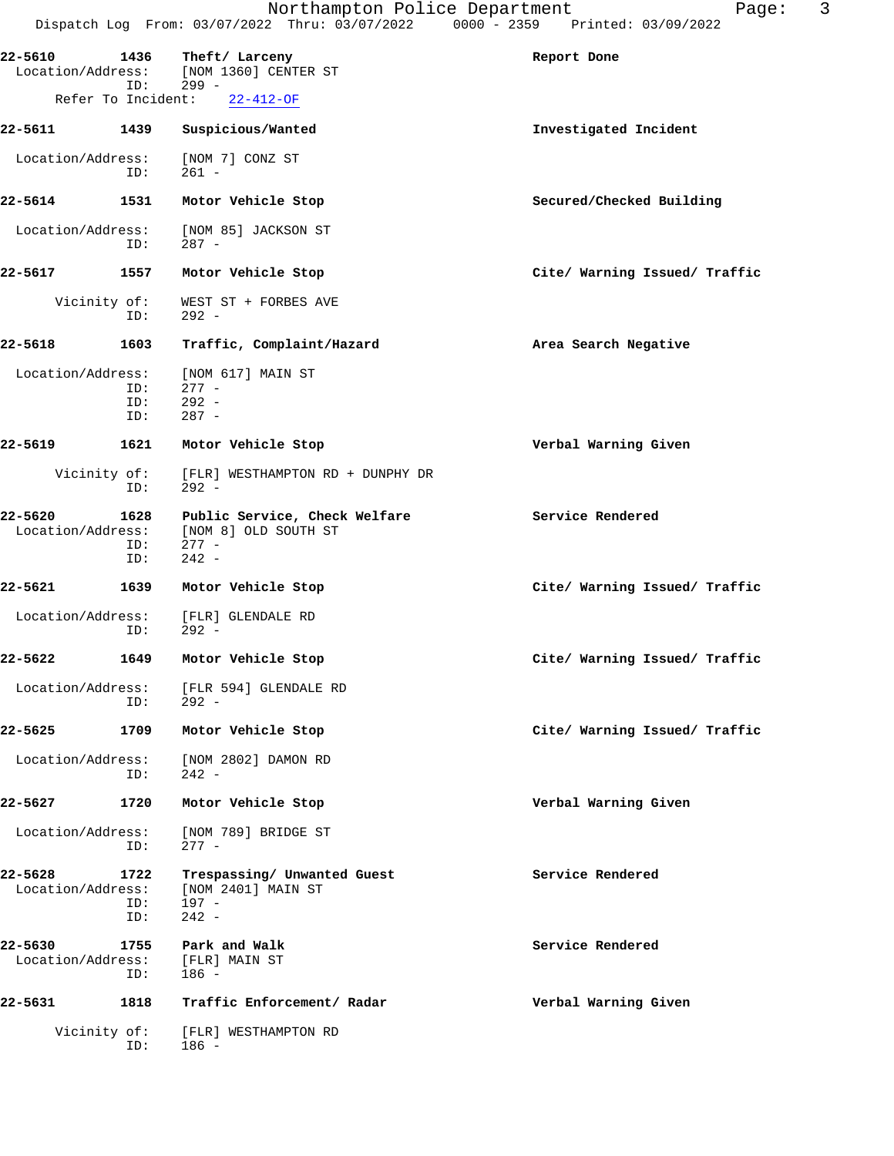| 22-5610                      | 1436<br>ID:         | Theft/ Larceny<br>Location/Address: [NOM 1360] CENTER ST<br>$299 -$         | Report Done                   |
|------------------------------|---------------------|-----------------------------------------------------------------------------|-------------------------------|
|                              | Refer To Incident:  | $22 - 412 - OF$                                                             |                               |
| 22-5611 1439                 |                     | Suspicious/Wanted                                                           | Investigated Incident         |
| Location/Address:            | ID:                 | [NOM 7] CONZ ST<br>261 -                                                    |                               |
| 22-5614                      | 1531                | Motor Vehicle Stop                                                          | Secured/Checked Building      |
| Location/Address:            | ID:                 | [NOM 85] JACKSON ST<br>$287 -$                                              |                               |
| 22-5617                      | 1557                | Motor Vehicle Stop                                                          | Cite/ Warning Issued/ Traffic |
|                              | Vicinity of:<br>ID: | WEST ST + FORBES AVE<br>$292 -$                                             |                               |
| 22-5618                      | 1603                | Traffic, Complaint/Hazard                                                   | Area Search Negative          |
| Location/Address:            | ID:<br>ID:<br>ID:   | [NOM 617] MAIN ST<br>$277 -$<br>$292 -$<br>$287 -$                          |                               |
| 22-5619                      | 1621                | Motor Vehicle Stop                                                          | Verbal Warning Given          |
|                              | Vicinity of:<br>ID: | [FLR] WESTHAMPTON RD + DUNPHY DR<br>292 -                                   |                               |
| 22-5620<br>Location/Address: | 1628<br>ID:<br>ID:  | Public Service, Check Welfare<br>[NOM 8] OLD SOUTH ST<br>$277 -$<br>$242 -$ | Service Rendered              |
| 22-5621                      | 1639                | Motor Vehicle Stop                                                          | Cite/ Warning Issued/ Traffic |
| Location/Address:            | ID:                 | [FLR] GLENDALE RD<br>$292 -$                                                |                               |
| $22 - 5622$                  | 1649                | Motor Vehicle Stop                                                          | Cite/ Warning Issued/ Traffic |
|                              | ID:                 | Location/Address: [FLR 594] GLENDALE RD<br>$292 -$                          |                               |
| 22-5625                      | 1709                | Motor Vehicle Stop                                                          | Cite/ Warning Issued/ Traffic |
| Location/Address:            | ID:                 | [NOM 2802] DAMON RD<br>$242 -$                                              |                               |
| 22-5627                      | 1720                | Motor Vehicle Stop                                                          | Verbal Warning Given          |
| Location/Address:            | ID:                 | [NOM 789] BRIDGE ST<br>$277 -$                                              |                               |
| 22-5628<br>Location/Address: | 1722<br>ID:<br>ID:  | Trespassing/ Unwanted Guest<br>[NOM 2401] MAIN ST<br>197 -<br>$242 -$       | Service Rendered              |
| 22-5630<br>Location/Address: | 1755<br>ID:         | Park and Walk<br>[FLR] MAIN ST<br>186 -                                     | Service Rendered              |
| 22-5631                      | 1818                | Traffic Enforcement/ Radar                                                  | Verbal Warning Given          |
|                              | Vicinity of:<br>ID: | [FLR] WESTHAMPTON RD<br>186 -                                               |                               |